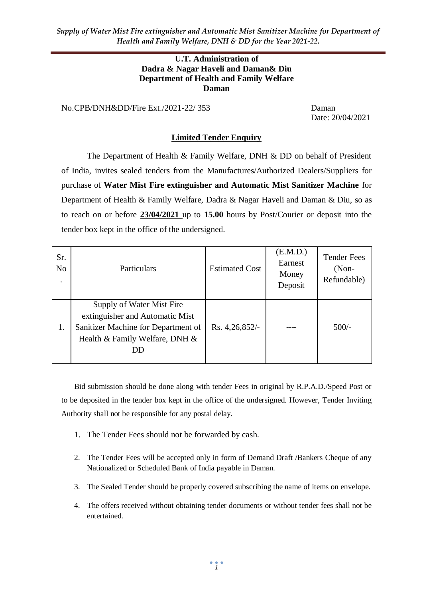*Supply of Water Mist Fire extinguisher and Automatic Mist Sanitizer Machine for Department of Health and Family Welfare, DNH & DD for the Year 2021-22.*

#### **U.T. Administration of Dadra & Nagar Haveli and Daman& Diu Department of Health and Family Welfare Daman**

No.CPB/DNH&DD/Fire Ext./2021-22/ 353 Daman

Date: 20/04/2021

#### **Limited Tender Enquiry**

The Department of Health & Family Welfare, DNH & DD on behalf of President of India, invites sealed tenders from the Manufactures/Authorized Dealers/Suppliers for purchase of **Water Mist Fire extinguisher and Automatic Mist Sanitizer Machine** for Department of Health & Family Welfare, Dadra & Nagar Haveli and Daman & Diu, so as to reach on or before **23/04/2021** up to **15.00** hours by Post/Courier or deposit into the tender box kept in the office of the undersigned.

| Sr.<br>N <sub>o</sub> | Particulars                                                                                                                                 | <b>Estimated Cost</b> | (E.M.D.)<br>Earnest<br>Money<br>Deposit | <b>Tender Fees</b><br>$(Non-$<br>Refundable) |
|-----------------------|---------------------------------------------------------------------------------------------------------------------------------------------|-----------------------|-----------------------------------------|----------------------------------------------|
| 1.                    | Supply of Water Mist Fire<br>extinguisher and Automatic Mist<br>Sanitizer Machine for Department of<br>Health & Family Welfare, DNH &<br>DD | Rs. 4,26,852/-        |                                         | $500/-$                                      |

Bid submission should be done along with tender Fees in original by R.P.A.D./Speed Post or to be deposited in the tender box kept in the office of the undersigned. However, Tender Inviting Authority shall not be responsible for any postal delay.

- 1. The Tender Fees should not be forwarded by cash.
- 2. The Tender Fees will be accepted only in form of Demand Draft /Bankers Cheque of any Nationalized or Scheduled Bank of India payable in Daman.
- 3. The Sealed Tender should be properly covered subscribing the name of items on envelope.
- 4. The offers received without obtaining tender documents or without tender fees shall not be entertained.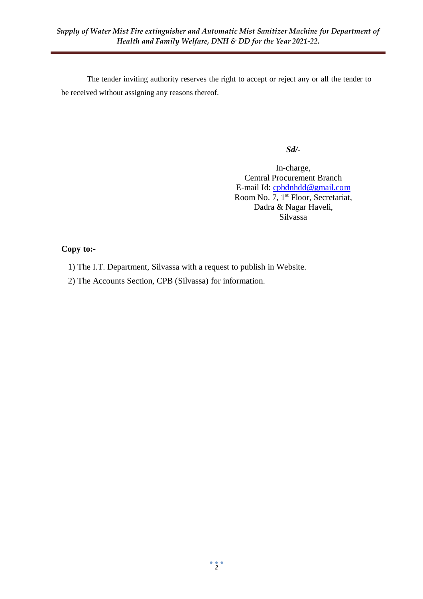The tender inviting authority reserves the right to accept or reject any or all the tender to be received without assigning any reasons thereof.

#### *Sd/-*

In-charge, Central Procurement Branch E-mail Id: [cpbdnhdd@gmail.com](mailto:cpbdnhdd@gmail.com) Room No. 7, 1<sup>st</sup> Floor, Secretariat, Dadra & Nagar Haveli, Silvassa

#### **Copy to:-**

- 1) The I.T. Department, Silvassa with a request to publish in Website.
- 2) The Accounts Section, CPB (Silvassa) for information.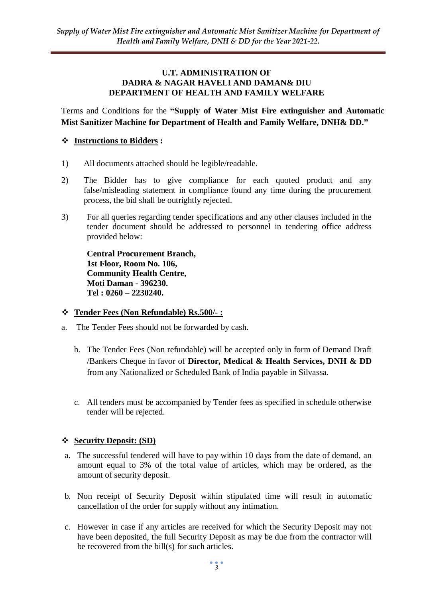#### **U.T. ADMINISTRATION OF DADRA & NAGAR HAVELI AND DAMAN& DIU DEPARTMENT OF HEALTH AND FAMILY WELFARE**

Terms and Conditions for the **"Supply of Water Mist Fire extinguisher and Automatic Mist Sanitizer Machine for Department of Health and Family Welfare, DNH& DD."**

# **Instructions to Bidders :**

- 1) All documents attached should be legible/readable.
- 2) The Bidder has to give compliance for each quoted product and any false/misleading statement in compliance found any time during the procurement process, the bid shall be outrightly rejected.
- 3) For all queries regarding tender specifications and any other clauses included in the tender document should be addressed to personnel in tendering office address provided below:

**Central Procurement Branch, 1st Floor, Room No. 106, Community Health Centre, Moti Daman - 396230. Tel : 0260 – 2230240.**

#### **Tender Fees (Non Refundable) Rs.500/- :**

- a. The Tender Fees should not be forwarded by cash.
	- b. The Tender Fees (Non refundable) will be accepted only in form of Demand Draft /Bankers Cheque in favor of **Director, Medical & Health Services, DNH & DD**  from any Nationalized or Scheduled Bank of India payable in Silvassa.
	- c. All tenders must be accompanied by Tender fees as specified in schedule otherwise tender will be rejected.

#### **Security Deposit: (SD)**

- a. The successful tendered will have to pay within 10 days from the date of demand, an amount equal to 3% of the total value of articles, which may be ordered, as the amount of security deposit.
- b. Non receipt of Security Deposit within stipulated time will result in automatic cancellation of the order for supply without any intimation.
- c. However in case if any articles are received for which the Security Deposit may not have been deposited, the full Security Deposit as may be due from the contractor will be recovered from the bill(s) for such articles.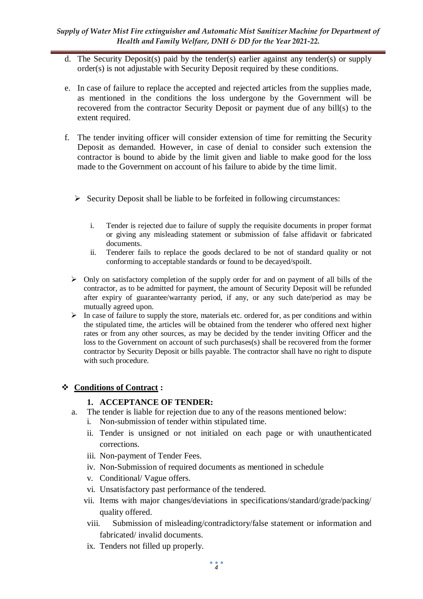- d. The Security Deposit(s) paid by the tender(s) earlier against any tender(s) or supply order(s) is not adjustable with Security Deposit required by these conditions.
- e. In case of failure to replace the accepted and rejected articles from the supplies made, as mentioned in the conditions the loss undergone by the Government will be recovered from the contractor Security Deposit or payment due of any bill(s) to the extent required.
- f. The tender inviting officer will consider extension of time for remitting the Security Deposit as demanded. However, in case of denial to consider such extension the contractor is bound to abide by the limit given and liable to make good for the loss made to the Government on account of his failure to abide by the time limit.
	- $\triangleright$  Security Deposit shall be liable to be forfeited in following circumstances:
		- i. Tender is rejected due to failure of supply the requisite documents in proper format or giving any misleading statement or submission of false affidavit or fabricated documents.
		- ii. Tenderer fails to replace the goods declared to be not of standard quality or not conforming to acceptable standards or found to be decayed/spoilt.
	- $\triangleright$  Only on satisfactory completion of the supply order for and on payment of all bills of the contractor, as to be admitted for payment, the amount of Security Deposit will be refunded after expiry of guarantee/warranty period, if any, or any such date/period as may be mutually agreed upon.
	- $\triangleright$  In case of failure to supply the store, materials etc. ordered for, as per conditions and within the stipulated time, the articles will be obtained from the tenderer who offered next higher rates or from any other sources, as may be decided by the tender inviting Officer and the loss to the Government on account of such purchases(s) shall be recovered from the former contractor by Security Deposit or bills payable. The contractor shall have no right to dispute with such procedure.

# **Conditions of Contract :**

# **1. ACCEPTANCE OF TENDER:**

- a. The tender is liable for rejection due to any of the reasons mentioned below:
	- i. Non-submission of tender within stipulated time.
	- ii. Tender is unsigned or not initialed on each page or with unauthenticated corrections.
	- iii. Non-payment of Tender Fees.
	- iv. Non-Submission of required documents as mentioned in schedule
	- v. Conditional/ Vague offers.
	- vi. Unsatisfactory past performance of the tendered.
	- vii. Items with major changes/deviations in specifications/standard/grade/packing/ quality offered.
	- viii. Submission of misleading/contradictory/false statement or information and fabricated/ invalid documents.
	- ix. Tenders not filled up properly.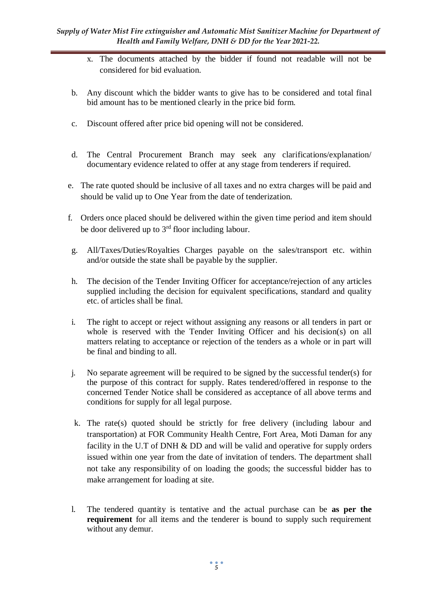- x. The documents attached by the bidder if found not readable will not be considered for bid evaluation.
- b. Any discount which the bidder wants to give has to be considered and total final bid amount has to be mentioned clearly in the price bid form.
- c. Discount offered after price bid opening will not be considered.
- d. The Central Procurement Branch may seek any clarifications/explanation/ documentary evidence related to offer at any stage from tenderers if required.
- e. The rate quoted should be inclusive of all taxes and no extra charges will be paid and should be valid up to One Year from the date of tenderization.
- f. Orders once placed should be delivered within the given time period and item should be door delivered up to  $3<sup>rd</sup>$  floor including labour.
- g. All/Taxes/Duties/Royalties Charges payable on the sales/transport etc. within and/or outside the state shall be payable by the supplier.
- h. The decision of the Tender Inviting Officer for acceptance/rejection of any articles supplied including the decision for equivalent specifications, standard and quality etc. of articles shall be final.
- i. The right to accept or reject without assigning any reasons or all tenders in part or whole is reserved with the Tender Inviting Officer and his decision(s) on all matters relating to acceptance or rejection of the tenders as a whole or in part will be final and binding to all.
- j. No separate agreement will be required to be signed by the successful tender(s) for the purpose of this contract for supply. Rates tendered/offered in response to the concerned Tender Notice shall be considered as acceptance of all above terms and conditions for supply for all legal purpose.
- k. The rate(s) quoted should be strictly for free delivery (including labour and transportation) at FOR Community Health Centre, Fort Area, Moti Daman for any facility in the U.T of DNH & DD and will be valid and operative for supply orders issued within one year from the date of invitation of tenders. The department shall not take any responsibility of on loading the goods; the successful bidder has to make arrangement for loading at site.
- l. The tendered quantity is tentative and the actual purchase can be **as per the requirement** for all items and the tenderer is bound to supply such requirement without any demur.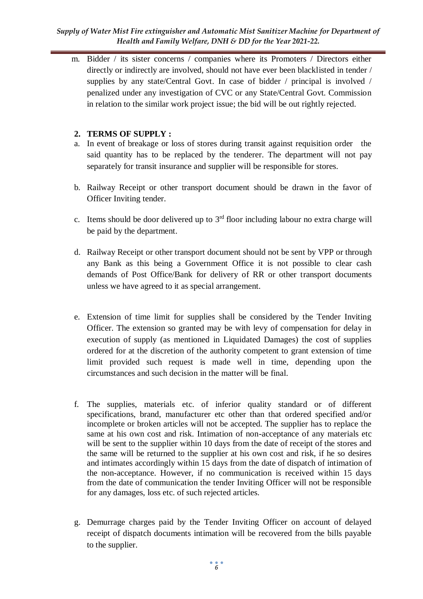#### *Supply of Water Mist Fire extinguisher and Automatic Mist Sanitizer Machine for Department of Health and Family Welfare, DNH & DD for the Year 2021-22.*

m. Bidder / its sister concerns / companies where its Promoters / Directors either directly or indirectly are involved, should not have ever been blacklisted in tender / supplies by any state/Central Govt. In case of bidder / principal is involved / penalized under any investigation of CVC or any State/Central Govt. Commission in relation to the similar work project issue; the bid will be out rightly rejected.

## **2. TERMS OF SUPPLY :**

- a. In event of breakage or loss of stores during transit against requisition order the said quantity has to be replaced by the tenderer. The department will not pay separately for transit insurance and supplier will be responsible for stores.
- b. Railway Receipt or other transport document should be drawn in the favor of Officer Inviting tender.
- c. Items should be door delivered up to  $3<sup>rd</sup>$  floor including labour no extra charge will be paid by the department.
- d. Railway Receipt or other transport document should not be sent by VPP or through any Bank as this being a Government Office it is not possible to clear cash demands of Post Office/Bank for delivery of RR or other transport documents unless we have agreed to it as special arrangement.
- e. Extension of time limit for supplies shall be considered by the Tender Inviting Officer. The extension so granted may be with levy of compensation for delay in execution of supply (as mentioned in Liquidated Damages) the cost of supplies ordered for at the discretion of the authority competent to grant extension of time limit provided such request is made well in time, depending upon the circumstances and such decision in the matter will be final.
- f. The supplies, materials etc. of inferior quality standard or of different specifications, brand, manufacturer etc other than that ordered specified and/or incomplete or broken articles will not be accepted. The supplier has to replace the same at his own cost and risk. Intimation of non-acceptance of any materials etc will be sent to the supplier within 10 days from the date of receipt of the stores and the same will be returned to the supplier at his own cost and risk, if he so desires and intimates accordingly within 15 days from the date of dispatch of intimation of the non-acceptance. However, if no communication is received within 15 days from the date of communication the tender Inviting Officer will not be responsible for any damages, loss etc. of such rejected articles.
- g. Demurrage charges paid by the Tender Inviting Officer on account of delayed receipt of dispatch documents intimation will be recovered from the bills payable to the supplier.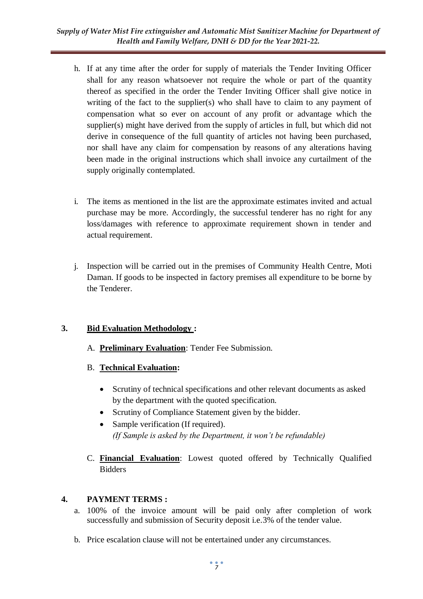- h. If at any time after the order for supply of materials the Tender Inviting Officer shall for any reason whatsoever not require the whole or part of the quantity thereof as specified in the order the Tender Inviting Officer shall give notice in writing of the fact to the supplier(s) who shall have to claim to any payment of compensation what so ever on account of any profit or advantage which the supplier(s) might have derived from the supply of articles in full, but which did not derive in consequence of the full quantity of articles not having been purchased, nor shall have any claim for compensation by reasons of any alterations having been made in the original instructions which shall invoice any curtailment of the supply originally contemplated.
- i. The items as mentioned in the list are the approximate estimates invited and actual purchase may be more. Accordingly, the successful tenderer has no right for any loss/damages with reference to approximate requirement shown in tender and actual requirement.
- j. Inspection will be carried out in the premises of Community Health Centre, Moti Daman. If goods to be inspected in factory premises all expenditure to be borne by the Tenderer.

# **3. Bid Evaluation Methodology :**

- A. **Preliminary Evaluation**: Tender Fee Submission.
- B. **Technical Evaluation:** 
	- Scrutiny of technical specifications and other relevant documents as asked by the department with the quoted specification.
	- Scrutiny of Compliance Statement given by the bidder.
	- Sample verification (If required). *(If Sample is asked by the Department, it won't be refundable)*
- C. **Financial Evaluation**: Lowest quoted offered by Technically Qualified Bidders

# **4. PAYMENT TERMS :**

- a. 100% of the invoice amount will be paid only after completion of work successfully and submission of Security deposit i.e.3% of the tender value.
- b. Price escalation clause will not be entertained under any circumstances.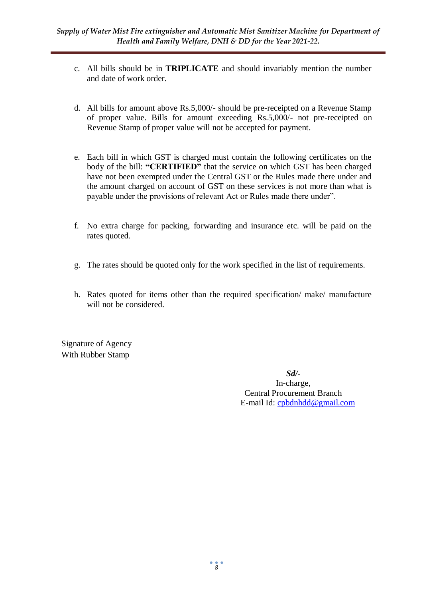- c. All bills should be in **TRIPLICATE** and should invariably mention the number and date of work order.
- d. All bills for amount above Rs.5,000/- should be pre-receipted on a Revenue Stamp of proper value. Bills for amount exceeding Rs.5,000/- not pre-receipted on Revenue Stamp of proper value will not be accepted for payment.
- e. Each bill in which GST is charged must contain the following certificates on the body of the bill: **"CERTIFIED"** that the service on which GST has been charged have not been exempted under the Central GST or the Rules made there under and the amount charged on account of GST on these services is not more than what is payable under the provisions of relevant Act or Rules made there under".
- f. No extra charge for packing, forwarding and insurance etc. will be paid on the rates quoted.
- g. The rates should be quoted only for the work specified in the list of requirements.
- h. Rates quoted for items other than the required specification/ make/ manufacture will not be considered.

Signature of Agency With Rubber Stamp

> *Sd/-* In-charge, Central Procurement Branch E-mail Id: [cpbdnhdd@gmail.com](mailto:cpbdnhdd@gmail.com)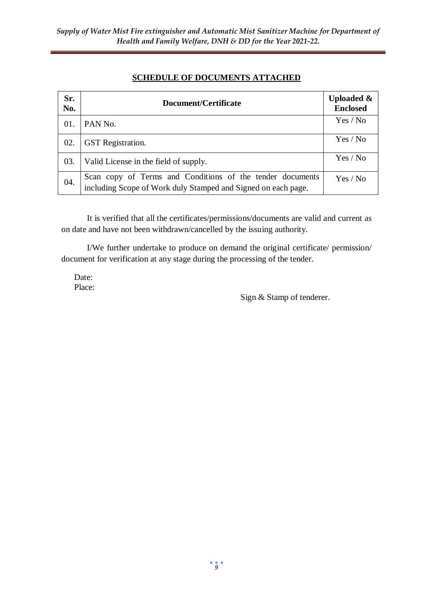# **SCHEDULE OF DOCUMENTS ATTACHED**

| Sr.<br>No. | Document/Certificate                                                                                                       | <b>Uploaded &amp;</b><br><b>Enclosed</b> |  |
|------------|----------------------------------------------------------------------------------------------------------------------------|------------------------------------------|--|
| 01.        | PAN No.                                                                                                                    | Yes / No                                 |  |
| 02.        | <b>GST</b> Registration.                                                                                                   | Yes / No                                 |  |
| 03.        | Valid License in the field of supply.                                                                                      | Yes / No                                 |  |
| 04.        | Scan copy of Terms and Conditions of the tender documents<br>including Scope of Work duly Stamped and Signed on each page. | Yes / No                                 |  |

It is verified that all the certificates/permissions/documents are valid and current as on date and have not been withdrawn/cancelled by the issuing authority.

I/We further undertake to produce on demand the original certificate/ permission/ document for verification at any stage during the processing of the tender.

Date: Place:

Sign & Stamp of tenderer.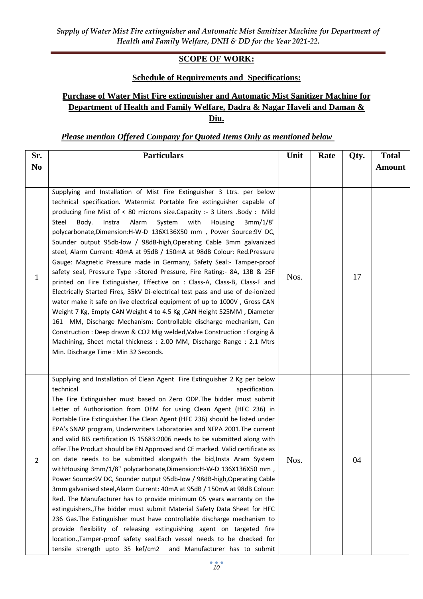# **SCOPE OF WORK:**

# **Schedule of Requirements and Specifications:**

# **Purchase of Water Mist Fire extinguisher and Automatic Mist Sanitizer Machine for Department of Health and Family Welfare, Dadra & Nagar Haveli and Daman & Diu.**

#### *Please mention Offered Company for Quoted Items Only as mentioned below*

| Sr.            | <b>Particulars</b>                                                                                                                                                                                                                                                                                                                                                                                                                                                                                                                                                                                                                                                                                                                                                                                                                                                                                                                                                                                                                                                                                                                                                                                                                                                                                                                                  |      | Rate | Qty. | <b>Total</b>  |
|----------------|-----------------------------------------------------------------------------------------------------------------------------------------------------------------------------------------------------------------------------------------------------------------------------------------------------------------------------------------------------------------------------------------------------------------------------------------------------------------------------------------------------------------------------------------------------------------------------------------------------------------------------------------------------------------------------------------------------------------------------------------------------------------------------------------------------------------------------------------------------------------------------------------------------------------------------------------------------------------------------------------------------------------------------------------------------------------------------------------------------------------------------------------------------------------------------------------------------------------------------------------------------------------------------------------------------------------------------------------------------|------|------|------|---------------|
| N <sub>0</sub> |                                                                                                                                                                                                                                                                                                                                                                                                                                                                                                                                                                                                                                                                                                                                                                                                                                                                                                                                                                                                                                                                                                                                                                                                                                                                                                                                                     |      |      |      | <b>Amount</b> |
| 1              | Supplying and Installation of Mist Fire Extinguisher 3 Ltrs. per below<br>technical specification. Watermist Portable fire extinguisher capable of<br>producing fine Mist of < 80 microns size. Capacity :- 3 Liters . Body : Mild<br>Alarm<br>System<br>Steel<br>Body.<br>Instra<br>with<br>Housing<br>3mm/1/8"<br>polycarbonate, Dimension: H-W-D 136X136X50 mm, Power Source: 9V DC,<br>Sounder output 95db-low / 98dB-high, Operating Cable 3mm galvanized<br>steel, Alarm Current: 40mA at 95dB / 150mA at 98dB Colour: Red.Pressure<br>Gauge: Magnetic Pressure made in Germany, Safety Seal:- Tamper-proof<br>safety seal, Pressure Type :- Stored Pressure, Fire Rating:- 8A, 13B & 25F<br>printed on Fire Extinguisher, Effective on : Class-A, Class-B, Class-F and<br>Electrically Started Fires, 35kV Di-electrical test pass and use of de-ionized<br>water make it safe on live electrical equipment of up to 1000V, Gross CAN<br>Weight 7 Kg, Empty CAN Weight 4 to 4.5 Kg, CAN Height 525MM, Diameter<br>161 MM, Discharge Mechanism: Controllable discharge mechanism, Can<br>Construction : Deep drawn & CO2 Mig welded, Valve Construction : Forging &<br>Machining, Sheet metal thickness: 2.00 MM, Discharge Range: 2.1 Mtrs<br>Min. Discharge Time: Min 32 Seconds.                                                           | Nos. |      | 17   |               |
| 2              | Supplying and Installation of Clean Agent Fire Extinguisher 2 Kg per below<br>technical<br>specification.<br>The Fire Extinguisher must based on Zero ODP. The bidder must submit<br>Letter of Authorisation from OEM for using Clean Agent (HFC 236) in<br>Portable Fire Extinguisher. The Clean Agent (HFC 236) should be listed under<br>EPA's SNAP program, Underwriters Laboratories and NFPA 2001. The current<br>and valid BIS certification IS 15683:2006 needs to be submitted along with<br>offer. The Product should be EN Approved and CE marked. Valid certificate as<br>on date needs to be submitted alongwith the bid, Insta Aram System<br>withHousing 3mm/1/8" polycarbonate,Dimension:H-W-D 136X136X50 mm,<br>Power Source: 9V DC, Sounder output 95db-low / 98dB-high, Operating Cable<br>3mm galvanised steel, Alarm Current: 40mA at 95dB / 150mA at 98dB Colour:<br>Red. The Manufacturer has to provide minimum 05 years warranty on the<br>extinguishers., The bidder must submit Material Safety Data Sheet for HFC<br>236 Gas. The Extinguisher must have controllable discharge mechanism to<br>provide flexibility of releasing extinguishing agent on targeted fire<br>location., Tamper-proof safety seal. Each vessel needs to be checked for<br>tensile strength upto 35 kef/cm2<br>and Manufacturer has to submit | Nos. |      | 04   |               |